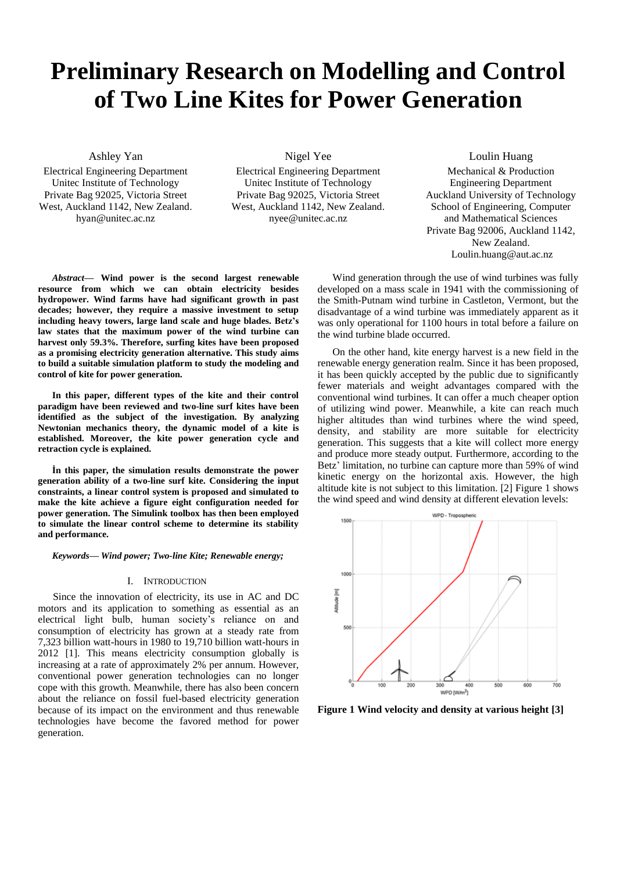# **Preliminary Research on Modelling and Control of Two Line Kites for Power Generation**

Ashley Yan

Electrical Engineering Department Unitec Institute of Technology Private Bag 92025, Victoria Street West, Auckland 1142, New Zealand. hyan@unitec.ac.nz

Nigel Yee

Electrical Engineering Department Unitec Institute of Technology Private Bag 92025, Victoria Street West, Auckland 1142, New Zealand. nyee@unitec.ac.nz

Loulin Huang Mechanical & Production Engineering Department Auckland University of Technology School of Engineering, Computer and Mathematical Sciences Private Bag 92006, Auckland 1142, New Zealand. Loulin.huang@aut.ac.nz

*Abstract***— Wind power is the second largest renewable resource from which we can obtain electricity besides hydropower. Wind farms have had significant growth in past decades; however, they require a massive investment to setup including heavy towers, large land scale and huge blades. Betz's law states that the maximum power of the wind turbine can harvest only 59.3%. Therefore, surfing kites have been proposed as a promising electricity generation alternative. This study aims to build a suitable simulation platform to study the modeling and control of kite for power generation.** 

**In this paper, different types of the kite and their control paradigm have been reviewed and two-line surf kites have been identified as the subject of the investigation. By analyzing Newtonian mechanics theory, the dynamic model of a kite is established. Moreover, the kite power generation cycle and retraction cycle is explained.** 

**İn this paper, the simulation results demonstrate the power generation ability of a two-line surf kite. Considering the input constraints, a linear control system is proposed and simulated to make the kite achieve a figure eight configuration needed for power generation. The Simulink toolbox has then been employed to simulate the linear control scheme to determine its stability and performance.**

*Keywords— Wind power; Two-line Kite; Renewable energy;*

#### I. INTRODUCTION

Since the innovation of electricity, its use in AC and DC motors and its application to something as essential as an electrical light bulb, human society's reliance on and consumption of electricity has grown at a steady rate from 7,323 billion watt-hours in 1980 to 19,710 billion watt-hours in 2012 [1]. This means electricity consumption globally is increasing at a rate of approximately 2% per annum. However, conventional power generation technologies can no longer cope with this growth. Meanwhile, there has also been concern about the reliance on fossil fuel-based electricity generation because of its impact on the environment and thus renewable technologies have become the favored method for power generation.

Wind generation through the use of wind turbines was fully developed on a mass scale in 1941 with the commissioning of the Smith-Putnam wind turbine in Castleton, Vermont, but the disadvantage of a wind turbine was immediately apparent as it was only operational for 1100 hours in total before a failure on the wind turbine blade occurred.

On the other hand, kite energy harvest is a new field in the renewable energy generation realm. Since it has been proposed, it has been quickly accepted by the public due to significantly fewer materials and weight advantages compared with the conventional wind turbines. It can offer a much cheaper option of utilizing wind power. Meanwhile, a kite can reach much higher altitudes than wind turbines where the wind speed, density, and stability are more suitable for electricity generation. This suggests that a kite will collect more energy and produce more steady output. Furthermore, according to the Betz' limitation, no turbine can capture more than 59% of wind kinetic energy on the horizontal axis. However, the high altitude kite is not subject to this limitation. [2] Figure 1 shows the wind speed and wind density at different elevation levels:



**Figure 1 Wind velocity and density at various height [3]**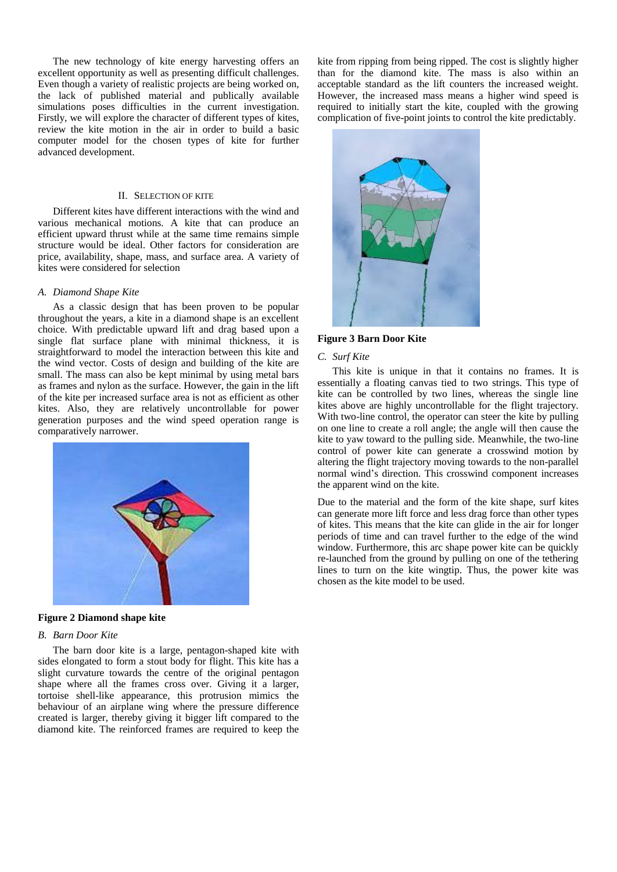The new technology of kite energy harvesting offers an excellent opportunity as well as presenting difficult challenges. Even though a variety of realistic projects are being worked on, the lack of published material and publically available simulations poses difficulties in the current investigation. Firstly, we will explore the character of different types of kites, review the kite motion in the air in order to build a basic computer model for the chosen types of kite for further advanced development.

#### II. SELECTION OF KITE

Different kites have different interactions with the wind and various mechanical motions. A kite that can produce an efficient upward thrust while at the same time remains simple structure would be ideal. Other factors for consideration are price, availability, shape, mass, and surface area. A variety of kites were considered for selection

#### *A. Diamond Shape Kite*

As a classic design that has been proven to be popular throughout the years, a kite in a diamond shape is an excellent choice. With predictable upward lift and drag based upon a single flat surface plane with minimal thickness, it is straightforward to model the interaction between this kite and the wind vector. Costs of design and building of the kite are small. The mass can also be kept minimal by using metal bars as frames and nylon as the surface. However, the gain in the lift of the kite per increased surface area is not as efficient as other kites. Also, they are relatively uncontrollable for power generation purposes and the wind speed operation range is comparatively narrower.



#### **Figure 2 Diamond shape kite**

#### *B. Barn Door Kite*

The barn door kite is a large, pentagon-shaped kite with sides elongated to form a stout body for flight. This kite has a slight curvature towards the centre of the original pentagon shape where all the frames cross over. Giving it a larger, tortoise shell-like appearance, this protrusion mimics the behaviour of an airplane wing where the pressure difference created is larger, thereby giving it bigger lift compared to the diamond kite. The reinforced frames are required to keep the

kite from ripping from being ripped. The cost is slightly higher than for the diamond kite. The mass is also within an acceptable standard as the lift counters the increased weight. However, the increased mass means a higher wind speed is required to initially start the kite, coupled with the growing complication of five-point joints to control the kite predictably.



## **Figure 3 Barn Door Kite**

#### *C. Surf Kite*

This kite is unique in that it contains no frames. It is essentially a floating canvas tied to two strings. This type of kite can be controlled by two lines, whereas the single line kites above are highly uncontrollable for the flight trajectory. With two-line control, the operator can steer the kite by pulling on one line to create a roll angle; the angle will then cause the kite to yaw toward to the pulling side. Meanwhile, the two-line control of power kite can generate a crosswind motion by altering the flight trajectory moving towards to the non-parallel normal wind's direction. This crosswind component increases the apparent wind on the kite.

Due to the material and the form of the kite shape, surf kites can generate more lift force and less drag force than other types of kites. This means that the kite can glide in the air for longer periods of time and can travel further to the edge of the wind window. Furthermore, this arc shape power kite can be quickly re-launched from the ground by pulling on one of the tethering lines to turn on the kite wingtip. Thus, the power kite was chosen as the kite model to be used.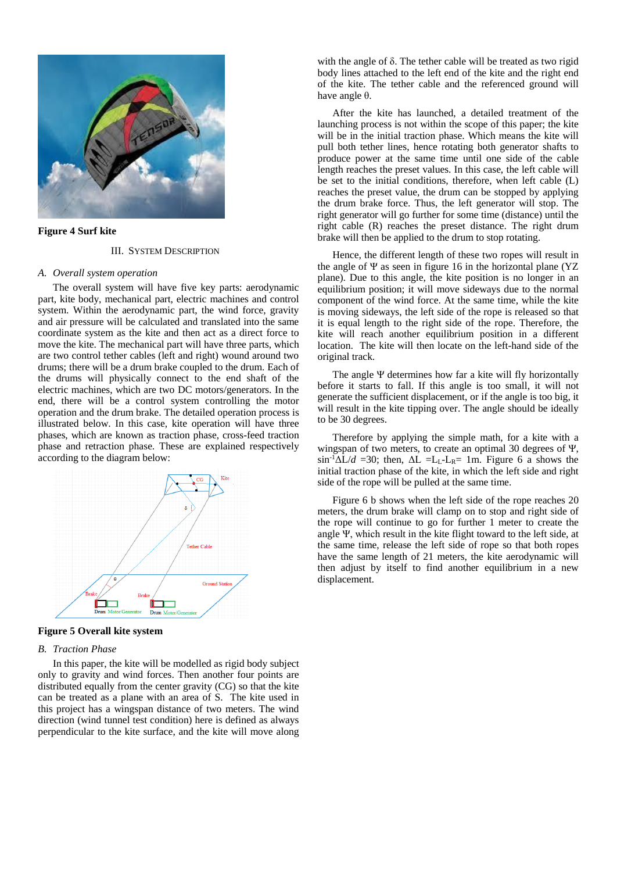

# **Figure 4 Surf kite**

#### III. SYSTEM DESCRIPTION

#### *A. Overall system operation*

The overall system will have five key parts: aerodynamic part, kite body, mechanical part, electric machines and control system. Within the aerodynamic part, the wind force, gravity and air pressure will be calculated and translated into the same coordinate system as the kite and then act as a direct force to move the kite. The mechanical part will have three parts, which are two control tether cables (left and right) wound around two drums; there will be a drum brake coupled to the drum. Each of the drums will physically connect to the end shaft of the electric machines, which are two DC motors/generators. In the end, there will be a control system controlling the motor operation and the drum brake. The detailed operation process is illustrated below. In this case, kite operation will have three phases, which are known as traction phase, cross-feed traction phase and retraction phase. These are explained respectively according to the diagram below:



#### **Figure 5 Overall kite system**

# *B. Traction Phase*

In this paper, the kite will be modelled as rigid body subject only to gravity and wind forces. Then another four points are distributed equally from the center gravity (CG) so that the kite can be treated as a plane with an area of S. The kite used in this project has a wingspan distance of two meters. The wind direction (wind tunnel test condition) here is defined as always perpendicular to the kite surface, and the kite will move along

with the angle of δ. The tether cable will be treated as two rigid body lines attached to the left end of the kite and the right end of the kite. The tether cable and the referenced ground will have angle θ.

After the kite has launched, a detailed treatment of the launching process is not within the scope of this paper; the kite will be in the initial traction phase. Which means the kite will pull both tether lines, hence rotating both generator shafts to produce power at the same time until one side of the cable length reaches the preset values. In this case, the left cable will be set to the initial conditions, therefore, when left cable (L) reaches the preset value, the drum can be stopped by applying the drum brake force. Thus, the left generator will stop. The right generator will go further for some time (distance) until the right cable (R) reaches the preset distance. The right drum brake will then be applied to the drum to stop rotating.

Hence, the different length of these two ropes will result in the angle of Ψ as seen in figure 16 in the horizontal plane (YZ plane). Due to this angle, the kite position is no longer in an equilibrium position; it will move sideways due to the normal component of the wind force. At the same time, while the kite is moving sideways, the left side of the rope is released so that it is equal length to the right side of the rope. Therefore, the kite will reach another equilibrium position in a different location. The kite will then locate on the left-hand side of the original track.

The angle Ψ determines how far a kite will fly horizontally before it starts to fall. If this angle is too small, it will not generate the sufficient displacement, or if the angle is too big, it will result in the kite tipping over. The angle should be ideally to be 30 degrees.

Therefore by applying the simple math, for a kite with a wingspan of two meters, to create an optimal 30 degrees of Ψ,  $\sin^{-1}$  $\Delta L/d$  =30; then,  $\Delta L$  =L<sub>L</sub>-L<sub>R</sub>= 1m. Figure 6 a shows the initial traction phase of the kite, in which the left side and right side of the rope will be pulled at the same time.

Figure 6 b shows when the left side of the rope reaches 20 meters, the drum brake will clamp on to stop and right side of the rope will continue to go for further 1 meter to create the angle Ψ, which result in the kite flight toward to the left side, at the same time, release the left side of rope so that both ropes have the same length of 21 meters, the kite aerodynamic will then adjust by itself to find another equilibrium in a new displacement.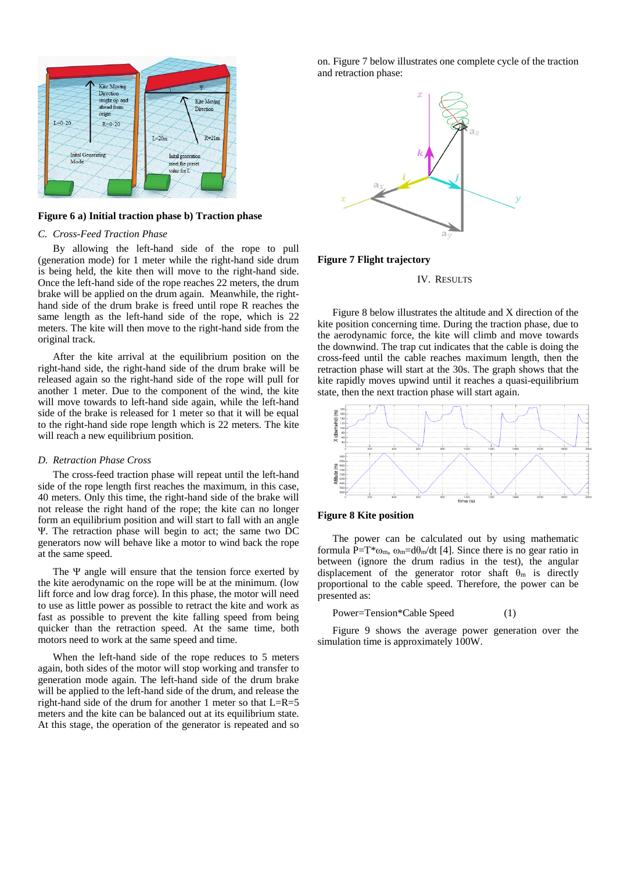

#### **Figure 6 a) Initial traction phase b) Traction phase**

### *C. Cross-Feed Traction Phase*

By allowing the left-hand side of the rope to pull (generation mode) for 1 meter while the right-hand side drum is being held, the kite then will move to the right-hand side. Once the left-hand side of the rope reaches 22 meters, the drum brake will be applied on the drum again. Meanwhile, the righthand side of the drum brake is freed until rope R reaches the same length as the left-hand side of the rope, which is 22 meters. The kite will then move to the right-hand side from the original track.

After the kite arrival at the equilibrium position on the right-hand side, the right-hand side of the drum brake will be released again so the right-hand side of the rope will pull for another 1 meter. Due to the component of the wind, the kite will move towards to left-hand side again, while the left-hand side of the brake is released for 1 meter so that it will be equal to the right-hand side rope length which is 22 meters. The kite will reach a new equilibrium position.

#### *D. Retraction Phase Cross*

The cross-feed traction phase will repeat until the left-hand side of the rope length first reaches the maximum, in this case, 40 meters. Only this time, the right-hand side of the brake will not release the right hand of the rope; the kite can no longer form an equilibrium position and will start to fall with an angle Ψ. The retraction phase will begin to act; the same two DC generators now will behave like a motor to wind back the rope at the same speed.

The Ψ angle will ensure that the tension force exerted by the kite aerodynamic on the rope will be at the minimum. (low lift force and low drag force). In this phase, the motor will need to use as little power as possible to retract the kite and work as fast as possible to prevent the kite falling speed from being quicker than the retraction speed. At the same time, both motors need to work at the same speed and time.

When the left-hand side of the rope reduces to 5 meters again, both sides of the motor will stop working and transfer to generation mode again. The left-hand side of the drum brake will be applied to the left-hand side of the drum, and release the right-hand side of the drum for another 1 meter so that L=R=5 meters and the kite can be balanced out at its equilibrium state. At this stage, the operation of the generator is repeated and so on. Figure 7 below illustrates one complete cycle of the traction and retraction phase:



# **Figure 7 Flight trajectory**

#### IV. RESULTS

Figure 8 below illustrates the altitude and X direction of the kite position concerning time. During the traction phase, due to the aerodynamic force, the kite will climb and move towards the downwind. The trap cut indicates that the cable is doing the cross-feed until the cable reaches maximum length, then the retraction phase will start at the 30s. The graph shows that the kite rapidly moves upwind until it reaches a quasi-equilibrium state, then the next traction phase will start again.



## **Figure 8 Kite position**

The power can be calculated out by using mathematic formula P=T\* $\omega_m$ ,  $\omega_m$ =d $\theta_m/dt$  [4]. Since there is no gear ratio in between (ignore the drum radius in the test), the angular displacement of the generator rotor shaft  $\theta_m$  is directly proportional to the cable speed. Therefore, the power can be presented as:

Power=Tension\*Cable Speed (1)

Figure 9 shows the average power generation over the simulation time is approximately 100W.